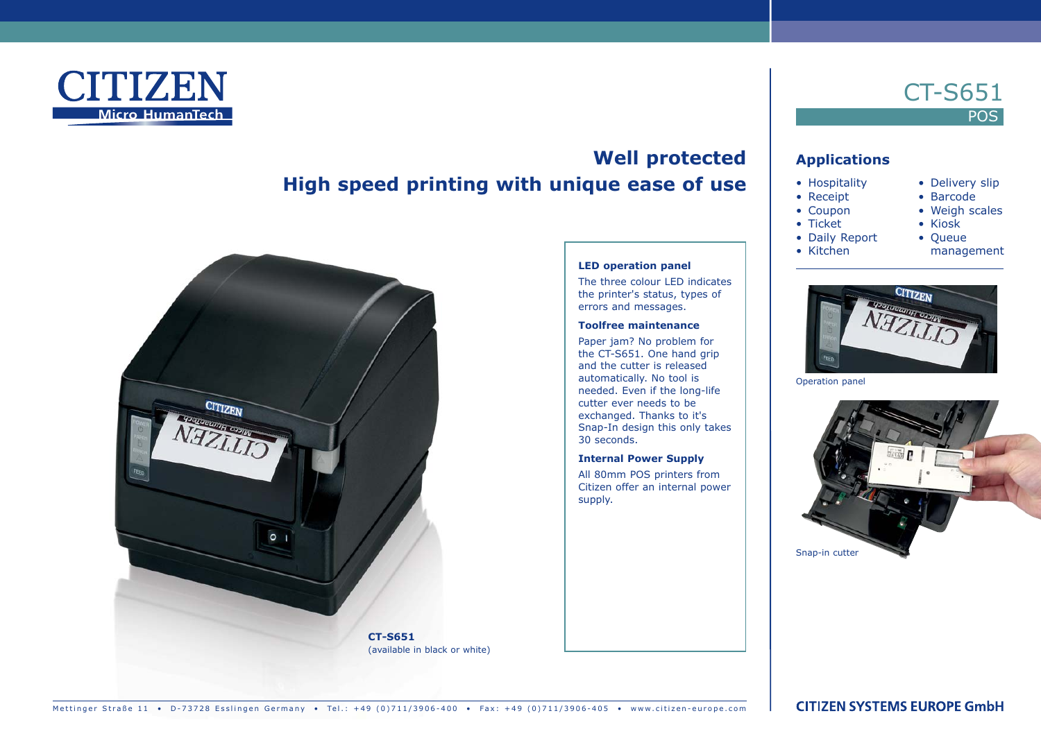

# **Well protected High speed printing with unique ease of use**

**LED operation panel**

30 seconds.

supply.

**Internal Power Supply** All 80mm POS printers from Citizen offer an internal power

The three colour LED indicates the printer's status, types of errors and messages. **Toolfree maintenance** Paper jam? No problem for the CT-S651. One hand grip and the cutter is released automatically. No tool is needed. Even if the long-life cutter ever needs to be exchanged. Thanks to it's Snap-In design this only takes



Mettinger Straße 11 • D-73728 Esslingen Germany • Tel.: +49 (0)711/3906-400 • Fax: +49 (0)711/3906-405 • www.citizen-europe.com

# CT-S651 **POS**

## **Applications**

- Hospitality
- Receipt
- Coupon
- Ticket

• Kitchen

- Daily Report
- management

• Delivery slip • Barcode • Weigh scales • Kiosk • Queue

Operation panel